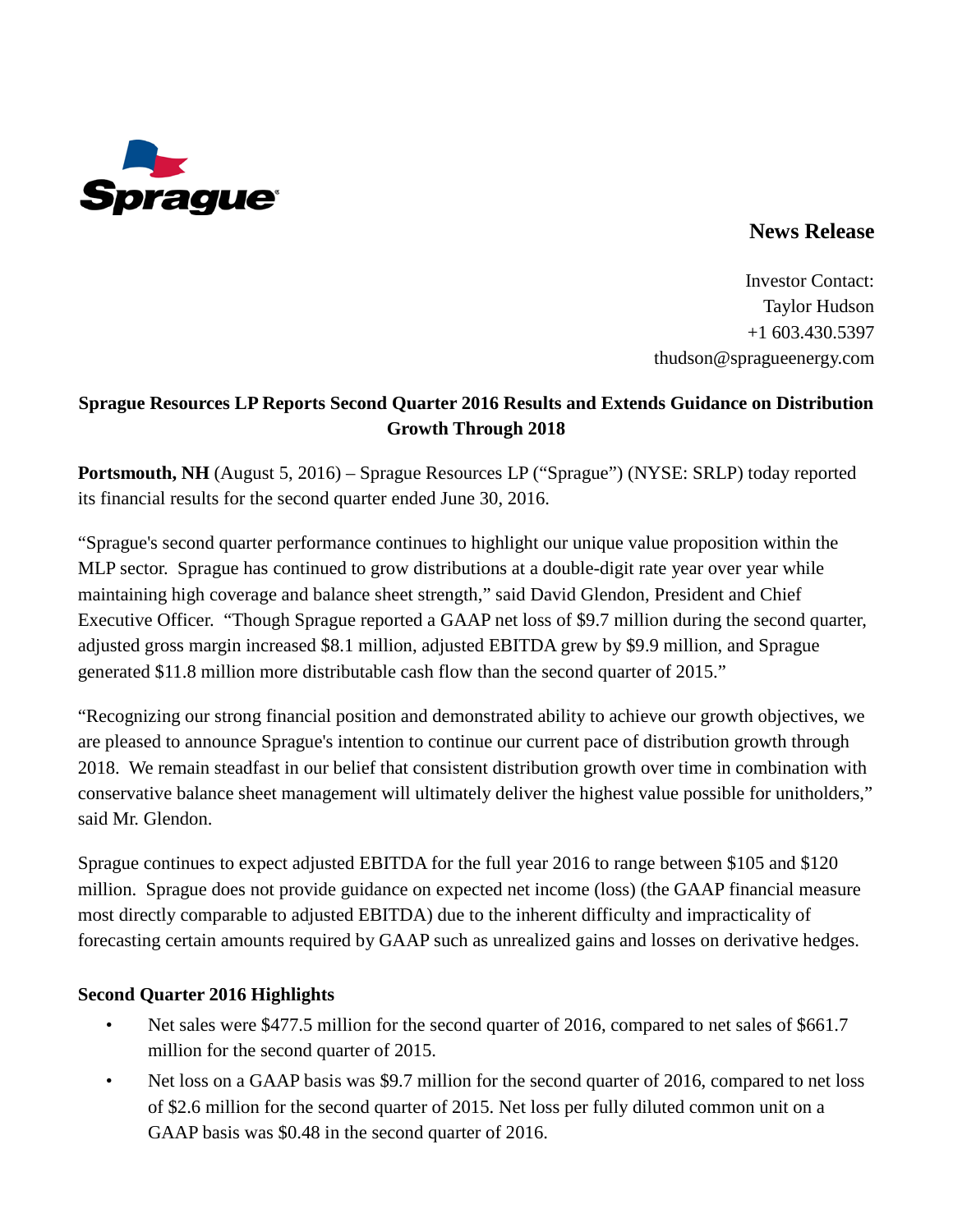

# **News Release**

Investor Contact: Taylor Hudson +1 603.430.5397 thudson@spragueenergy.com

# **Sprague Resources LP Reports Second Quarter 2016 Results and Extends Guidance on Distribution Growth Through 2018**

**Portsmouth, NH** (August 5, 2016) – Sprague Resources LP ("Sprague") (NYSE: SRLP) today reported its financial results for the second quarter ended June 30, 2016.

"Sprague's second quarter performance continues to highlight our unique value proposition within the MLP sector. Sprague has continued to grow distributions at a double-digit rate year over year while maintaining high coverage and balance sheet strength," said David Glendon, President and Chief Executive Officer. "Though Sprague reported a GAAP net loss of \$9.7 million during the second quarter, adjusted gross margin increased \$8.1 million, adjusted EBITDA grew by \$9.9 million, and Sprague generated \$11.8 million more distributable cash flow than the second quarter of 2015."

"Recognizing our strong financial position and demonstrated ability to achieve our growth objectives, we are pleased to announce Sprague's intention to continue our current pace of distribution growth through 2018. We remain steadfast in our belief that consistent distribution growth over time in combination with conservative balance sheet management will ultimately deliver the highest value possible for unitholders," said Mr. Glendon.

Sprague continues to expect adjusted EBITDA for the full year 2016 to range between \$105 and \$120 million. Sprague does not provide guidance on expected net income (loss) (the GAAP financial measure most directly comparable to adjusted EBITDA) due to the inherent difficulty and impracticality of forecasting certain amounts required by GAAP such as unrealized gains and losses on derivative hedges.

### **Second Quarter 2016 Highlights**

- Net sales were \$477.5 million for the second quarter of 2016, compared to net sales of \$661.7 million for the second quarter of 2015.
- Net loss on a GAAP basis was \$9.7 million for the second quarter of 2016, compared to net loss of \$2.6 million for the second quarter of 2015. Net loss per fully diluted common unit on a GAAP basis was \$0.48 in the second quarter of 2016.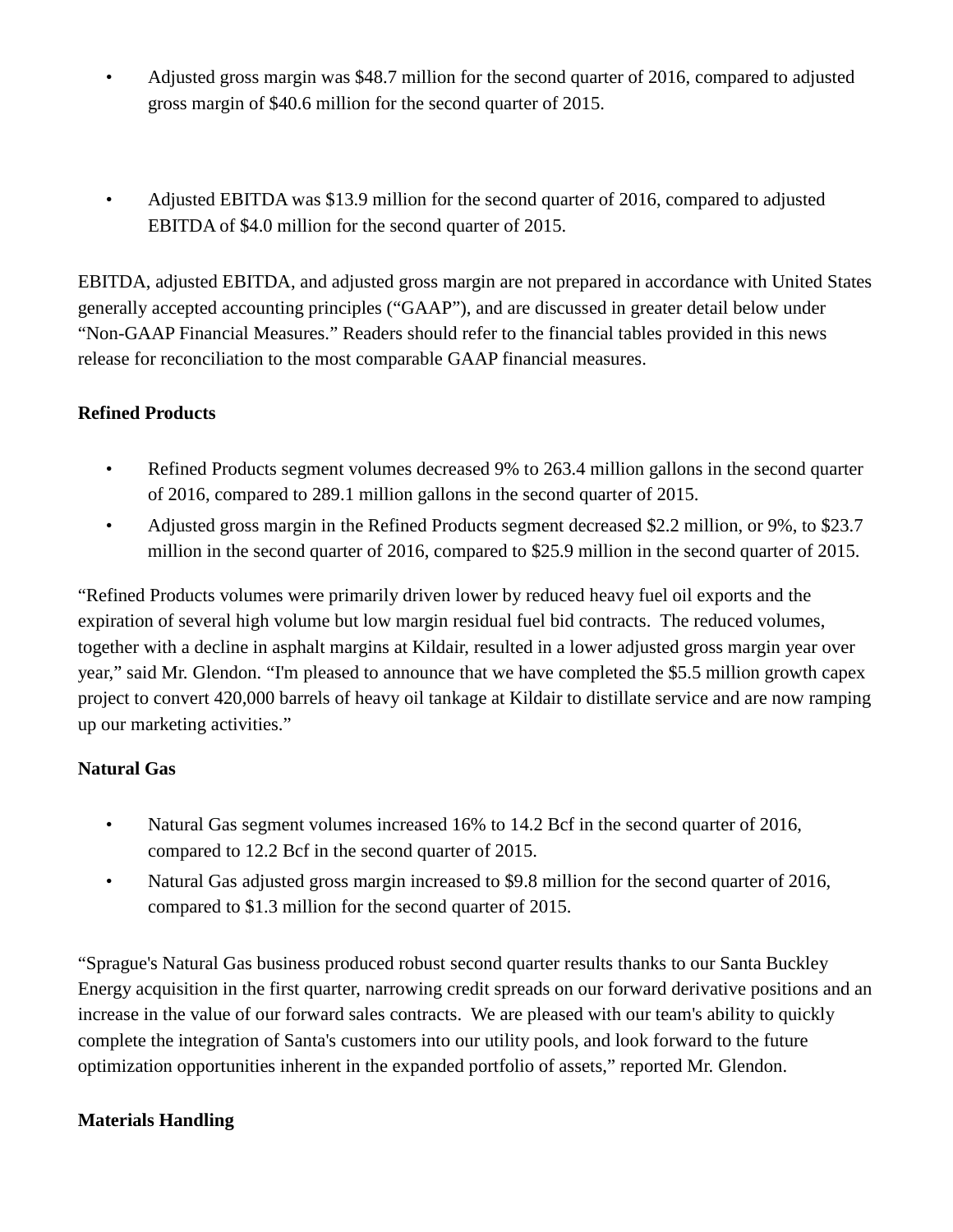- Adjusted gross margin was \$48.7 million for the second quarter of 2016, compared to adjusted gross margin of \$40.6 million for the second quarter of 2015.
- Adjusted EBITDA was \$13.9 million for the second quarter of 2016, compared to adjusted EBITDA of \$4.0 million for the second quarter of 2015.

EBITDA, adjusted EBITDA, and adjusted gross margin are not prepared in accordance with United States generally accepted accounting principles ("GAAP"), and are discussed in greater detail below under "Non-GAAP Financial Measures." Readers should refer to the financial tables provided in this news release for reconciliation to the most comparable GAAP financial measures.

# **Refined Products**

- Refined Products segment volumes decreased 9% to 263.4 million gallons in the second quarter of 2016, compared to 289.1 million gallons in the second quarter of 2015.
- Adjusted gross margin in the Refined Products segment decreased \$2.2 million, or 9%, to \$23.7 million in the second quarter of 2016, compared to \$25.9 million in the second quarter of 2015.

"Refined Products volumes were primarily driven lower by reduced heavy fuel oil exports and the expiration of several high volume but low margin residual fuel bid contracts. The reduced volumes, together with a decline in asphalt margins at Kildair, resulted in a lower adjusted gross margin year over year," said Mr. Glendon. "I'm pleased to announce that we have completed the \$5.5 million growth capex project to convert 420,000 barrels of heavy oil tankage at Kildair to distillate service and are now ramping up our marketing activities."

## **Natural Gas**

- Natural Gas segment volumes increased 16% to 14.2 Bcf in the second quarter of 2016, compared to 12.2 Bcf in the second quarter of 2015.
- Natural Gas adjusted gross margin increased to \$9.8 million for the second quarter of 2016, compared to \$1.3 million for the second quarter of 2015.

"Sprague's Natural Gas business produced robust second quarter results thanks to our Santa Buckley Energy acquisition in the first quarter, narrowing credit spreads on our forward derivative positions and an increase in the value of our forward sales contracts. We are pleased with our team's ability to quickly complete the integration of Santa's customers into our utility pools, and look forward to the future optimization opportunities inherent in the expanded portfolio of assets," reported Mr. Glendon.

## **Materials Handling**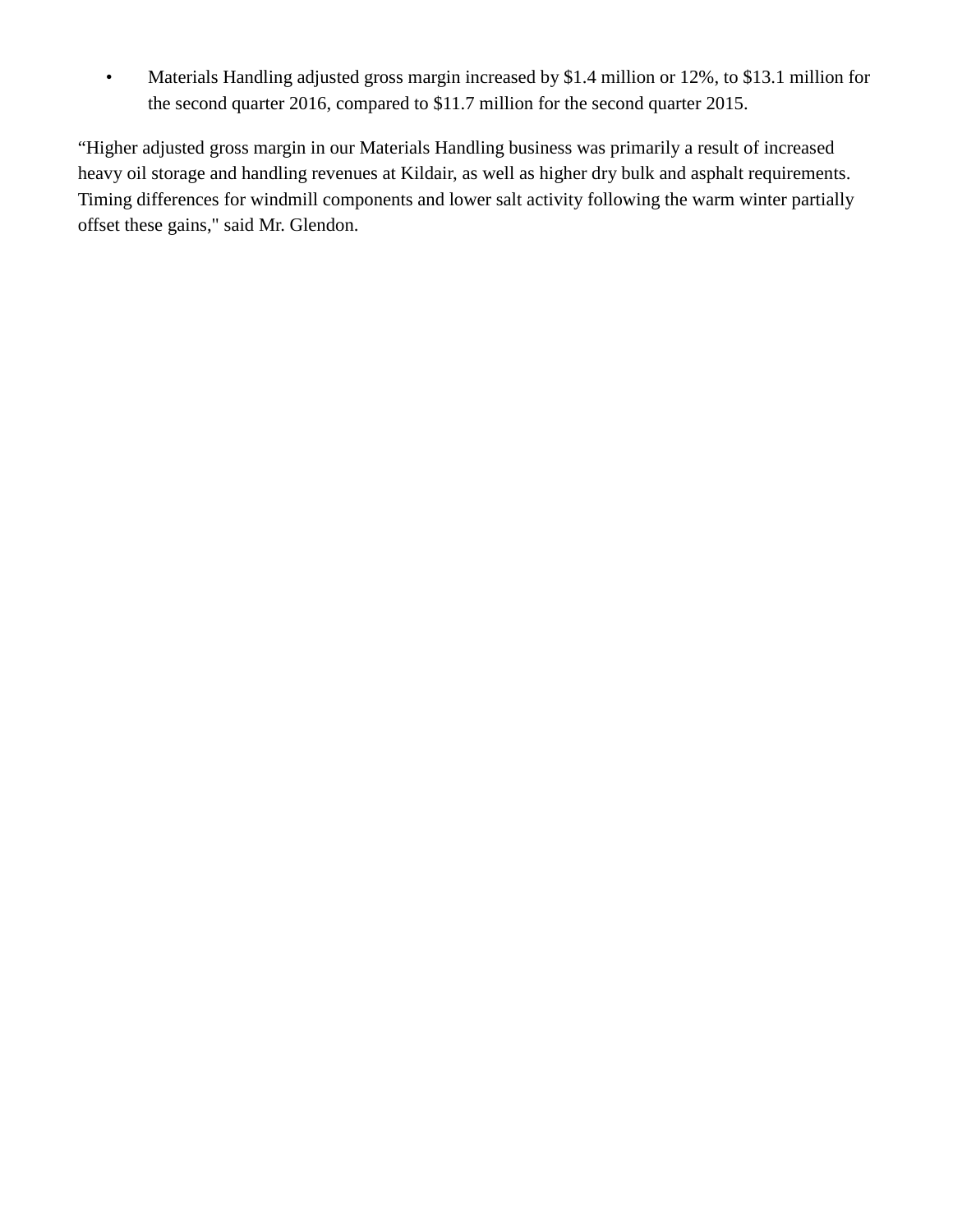• Materials Handling adjusted gross margin increased by \$1.4 million or 12%, to \$13.1 million for the second quarter 2016, compared to \$11.7 million for the second quarter 2015.

"Higher adjusted gross margin in our Materials Handling business was primarily a result of increased heavy oil storage and handling revenues at Kildair, as well as higher dry bulk and asphalt requirements. Timing differences for windmill components and lower salt activity following the warm winter partially offset these gains," said Mr. Glendon.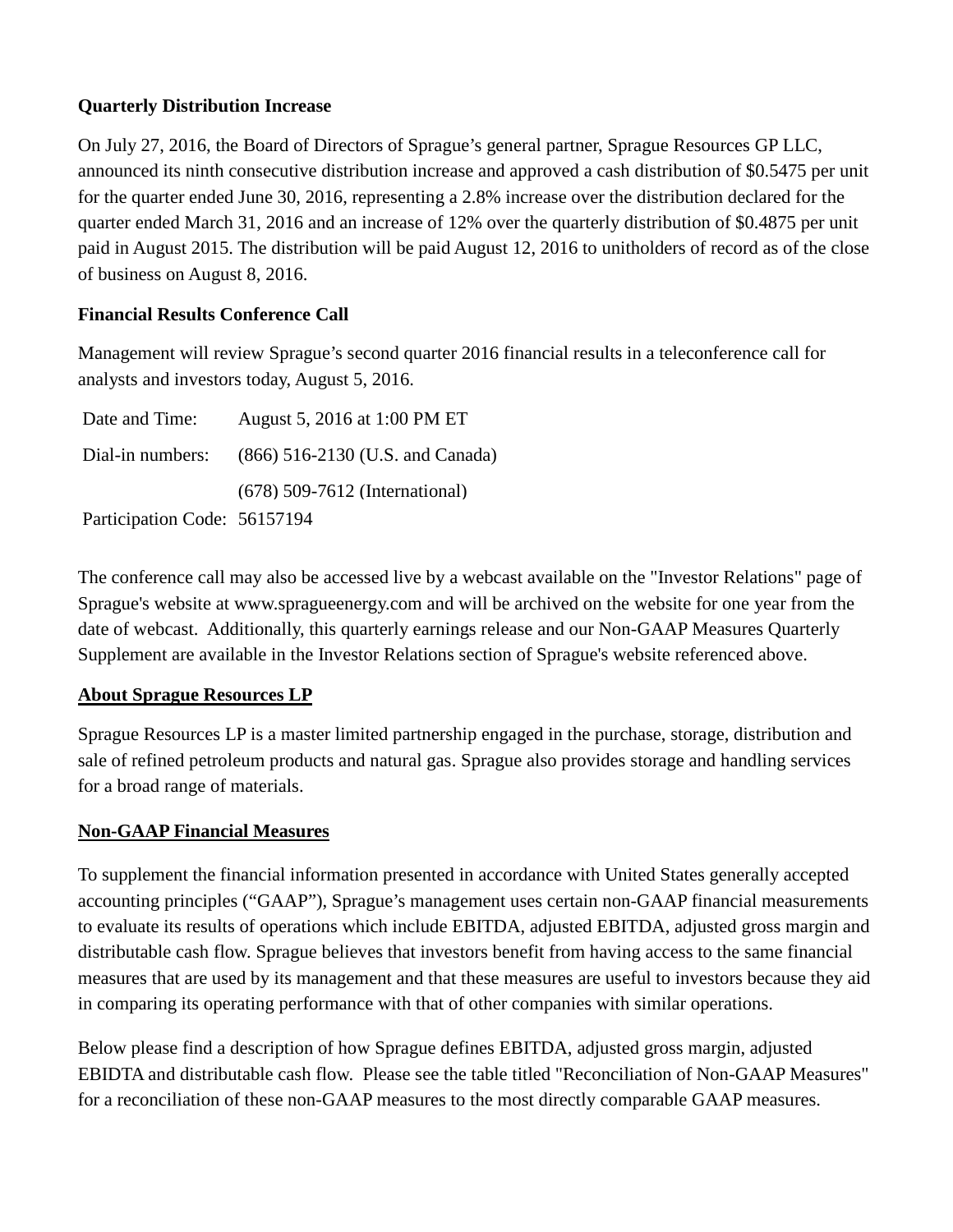### **Quarterly Distribution Increase**

On July 27, 2016, the Board of Directors of Sprague's general partner, Sprague Resources GP LLC, announced its ninth consecutive distribution increase and approved a cash distribution of \$0.5475 per unit for the quarter ended June 30, 2016, representing a 2.8% increase over the distribution declared for the quarter ended March 31, 2016 and an increase of 12% over the quarterly distribution of \$0.4875 per unit paid in August 2015. The distribution will be paid August 12, 2016 to unitholders of record as of the close of business on August 8, 2016.

### **Financial Results Conference Call**

Management will review Sprague's second quarter 2016 financial results in a teleconference call for analysts and investors today, August 5, 2016.

| Date and Time:               | August 5, 2016 at 1:00 PM ET                      |
|------------------------------|---------------------------------------------------|
|                              | Dial-in numbers: (866) 516-2130 (U.S. and Canada) |
|                              | (678) 509-7612 (International)                    |
| Participation Code: 56157194 |                                                   |

The conference call may also be accessed live by a webcast available on the "Investor Relations" page of Sprague's website at www.spragueenergy.com and will be archived on the website for one year from the date of webcast. Additionally, this quarterly earnings release and our Non-GAAP Measures Quarterly Supplement are available in the Investor Relations section of Sprague's website referenced above.

### **About Sprague Resources LP**

Sprague Resources LP is a master limited partnership engaged in the purchase, storage, distribution and sale of refined petroleum products and natural gas. Sprague also provides storage and handling services for a broad range of materials.

### **Non-GAAP Financial Measures**

To supplement the financial information presented in accordance with United States generally accepted accounting principles ("GAAP"), Sprague's management uses certain non-GAAP financial measurements to evaluate its results of operations which include EBITDA, adjusted EBITDA, adjusted gross margin and distributable cash flow. Sprague believes that investors benefit from having access to the same financial measures that are used by its management and that these measures are useful to investors because they aid in comparing its operating performance with that of other companies with similar operations.

Below please find a description of how Sprague defines EBITDA, adjusted gross margin, adjusted EBIDTA and distributable cash flow. Please see the table titled "Reconciliation of Non-GAAP Measures" for a reconciliation of these non-GAAP measures to the most directly comparable GAAP measures.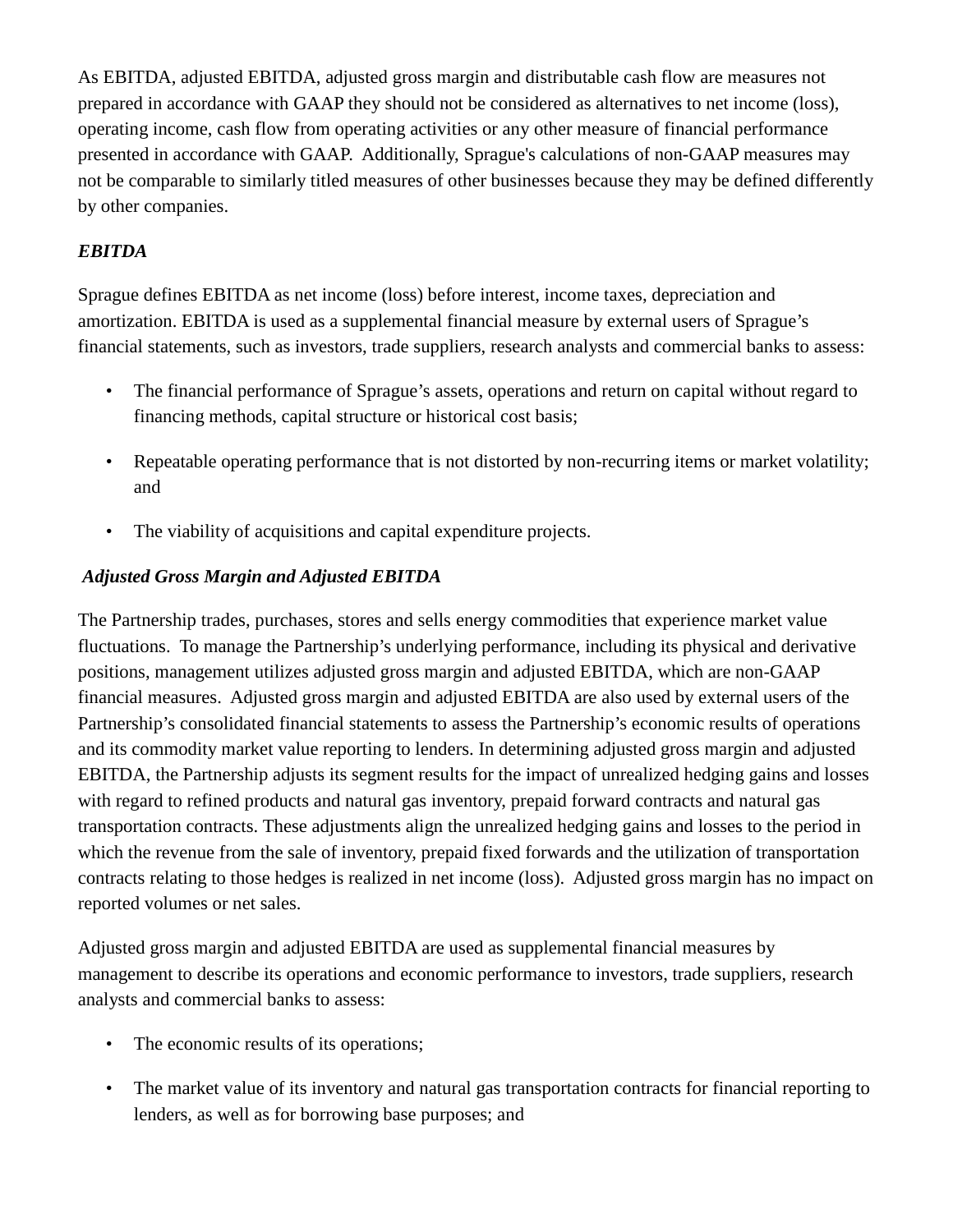As EBITDA, adjusted EBITDA, adjusted gross margin and distributable cash flow are measures not prepared in accordance with GAAP they should not be considered as alternatives to net income (loss), operating income, cash flow from operating activities or any other measure of financial performance presented in accordance with GAAP. Additionally, Sprague's calculations of non-GAAP measures may not be comparable to similarly titled measures of other businesses because they may be defined differently by other companies.

## *EBITDA*

Sprague defines EBITDA as net income (loss) before interest, income taxes, depreciation and amortization. EBITDA is used as a supplemental financial measure by external users of Sprague's financial statements, such as investors, trade suppliers, research analysts and commercial banks to assess:

- The financial performance of Sprague's assets, operations and return on capital without regard to financing methods, capital structure or historical cost basis;
- Repeatable operating performance that is not distorted by non-recurring items or market volatility; and
- The viability of acquisitions and capital expenditure projects.

## *Adjusted Gross Margin and Adjusted EBITDA*

The Partnership trades, purchases, stores and sells energy commodities that experience market value fluctuations. To manage the Partnership's underlying performance, including its physical and derivative positions, management utilizes adjusted gross margin and adjusted EBITDA, which are non-GAAP financial measures. Adjusted gross margin and adjusted EBITDA are also used by external users of the Partnership's consolidated financial statements to assess the Partnership's economic results of operations and its commodity market value reporting to lenders. In determining adjusted gross margin and adjusted EBITDA, the Partnership adjusts its segment results for the impact of unrealized hedging gains and losses with regard to refined products and natural gas inventory, prepaid forward contracts and natural gas transportation contracts. These adjustments align the unrealized hedging gains and losses to the period in which the revenue from the sale of inventory, prepaid fixed forwards and the utilization of transportation contracts relating to those hedges is realized in net income (loss). Adjusted gross margin has no impact on reported volumes or net sales.

Adjusted gross margin and adjusted EBITDA are used as supplemental financial measures by management to describe its operations and economic performance to investors, trade suppliers, research analysts and commercial banks to assess:

- The economic results of its operations;
- The market value of its inventory and natural gas transportation contracts for financial reporting to lenders, as well as for borrowing base purposes; and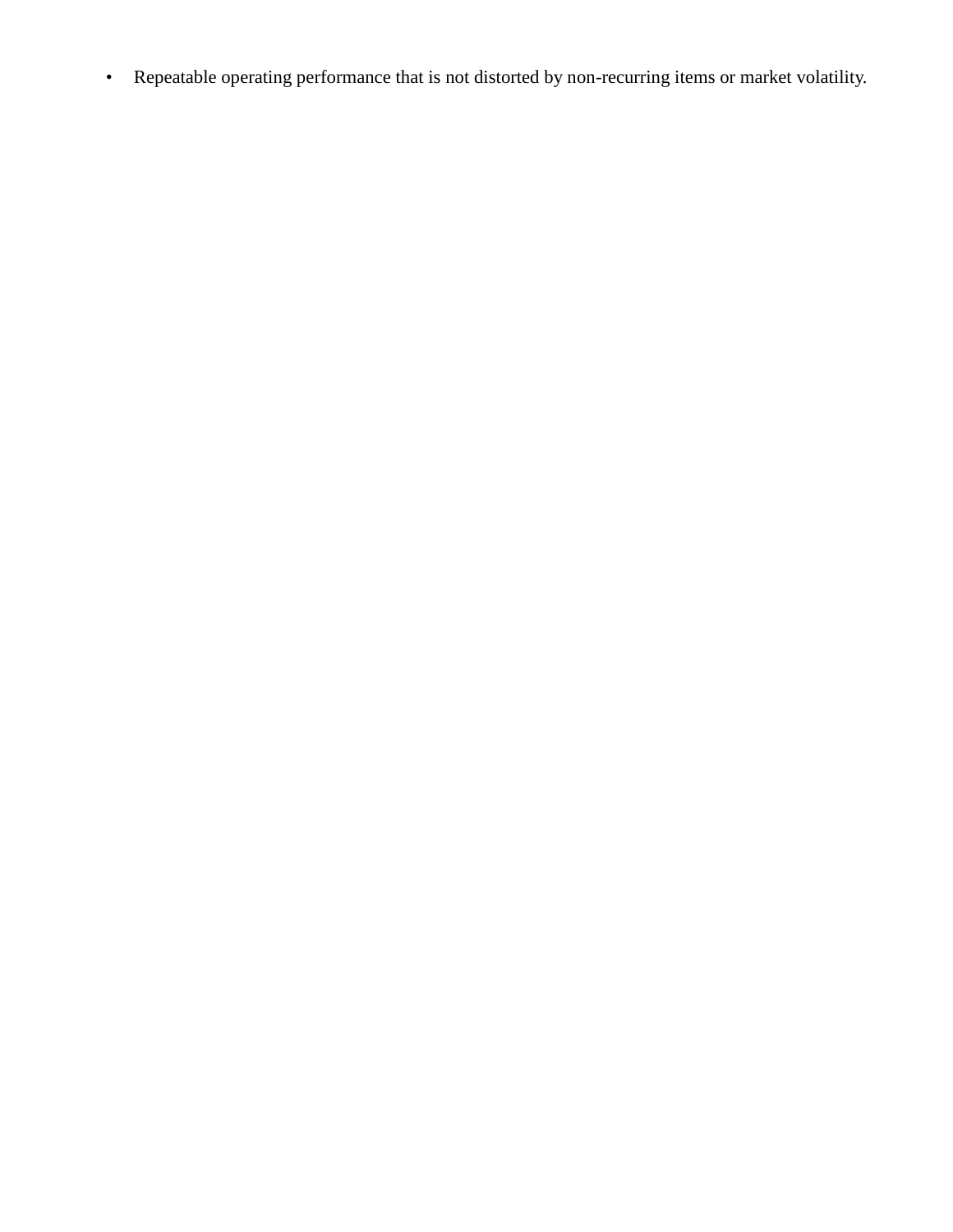• Repeatable operating performance that is not distorted by non-recurring items or market volatility.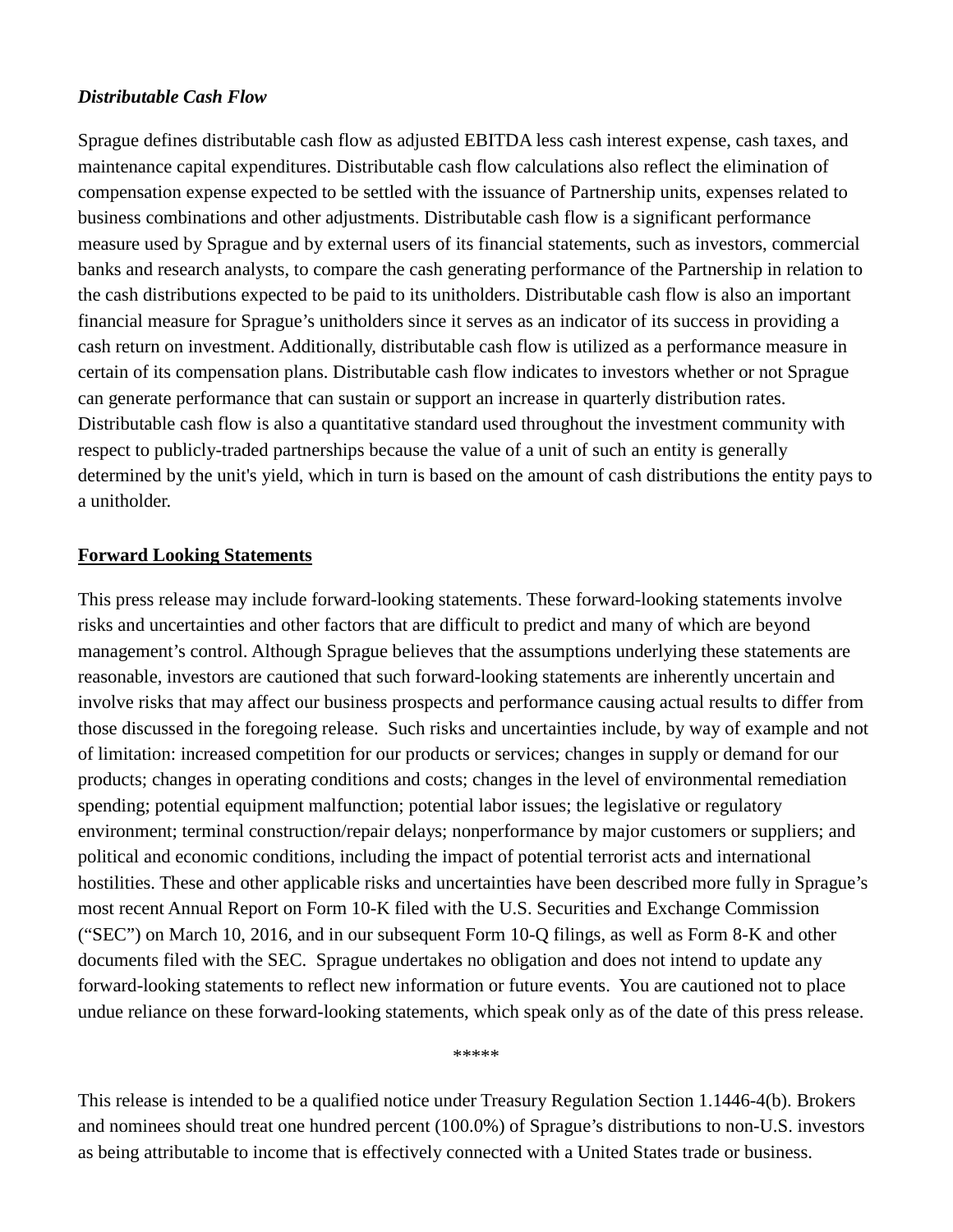#### *Distributable Cash Flow*

Sprague defines distributable cash flow as adjusted EBITDA less cash interest expense, cash taxes, and maintenance capital expenditures. Distributable cash flow calculations also reflect the elimination of compensation expense expected to be settled with the issuance of Partnership units, expenses related to business combinations and other adjustments. Distributable cash flow is a significant performance measure used by Sprague and by external users of its financial statements, such as investors, commercial banks and research analysts, to compare the cash generating performance of the Partnership in relation to the cash distributions expected to be paid to its unitholders. Distributable cash flow is also an important financial measure for Sprague's unitholders since it serves as an indicator of its success in providing a cash return on investment. Additionally, distributable cash flow is utilized as a performance measure in certain of its compensation plans. Distributable cash flow indicates to investors whether or not Sprague can generate performance that can sustain or support an increase in quarterly distribution rates. Distributable cash flow is also a quantitative standard used throughout the investment community with respect to publicly-traded partnerships because the value of a unit of such an entity is generally determined by the unit's yield, which in turn is based on the amount of cash distributions the entity pays to a unitholder.

#### **Forward Looking Statements**

This press release may include forward-looking statements. These forward-looking statements involve risks and uncertainties and other factors that are difficult to predict and many of which are beyond management's control. Although Sprague believes that the assumptions underlying these statements are reasonable, investors are cautioned that such forward-looking statements are inherently uncertain and involve risks that may affect our business prospects and performance causing actual results to differ from those discussed in the foregoing release. Such risks and uncertainties include, by way of example and not of limitation: increased competition for our products or services; changes in supply or demand for our products; changes in operating conditions and costs; changes in the level of environmental remediation spending; potential equipment malfunction; potential labor issues; the legislative or regulatory environment; terminal construction/repair delays; nonperformance by major customers or suppliers; and political and economic conditions, including the impact of potential terrorist acts and international hostilities. These and other applicable risks and uncertainties have been described more fully in Sprague's most recent Annual Report on Form 10-K filed with the U.S. Securities and Exchange Commission ("SEC") on March 10, 2016, and in our subsequent Form 10-Q filings, as well as Form 8-K and other documents filed with the SEC. Sprague undertakes no obligation and does not intend to update any forward-looking statements to reflect new information or future events. You are cautioned not to place undue reliance on these forward-looking statements, which speak only as of the date of this press release.

\*\*\*\*\*

This release is intended to be a qualified notice under Treasury Regulation Section 1.1446-4(b). Brokers and nominees should treat one hundred percent (100.0%) of Sprague's distributions to non-U.S. investors as being attributable to income that is effectively connected with a United States trade or business.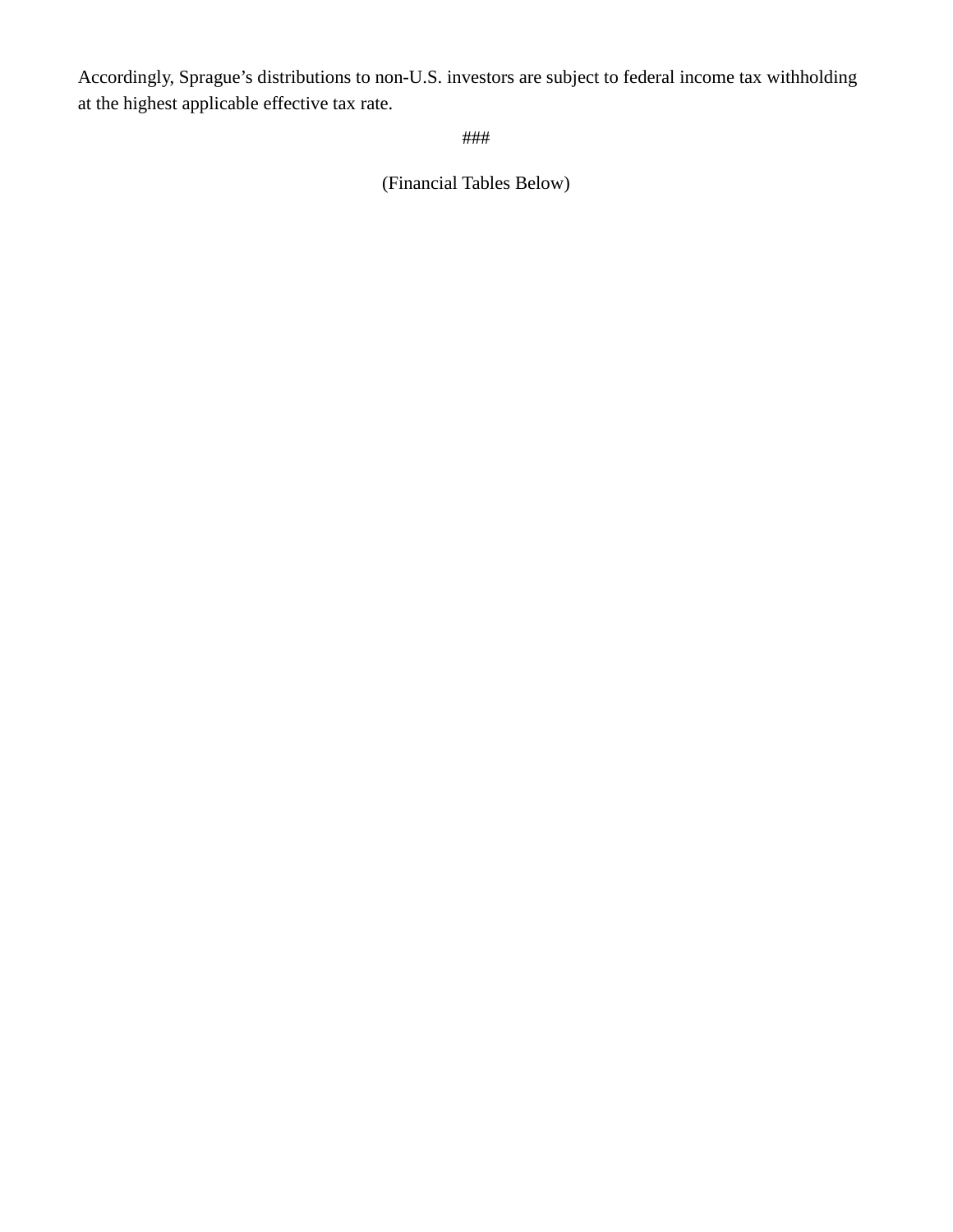Accordingly, Sprague's distributions to non-U.S. investors are subject to federal income tax withholding at the highest applicable effective tax rate.

###

(Financial Tables Below)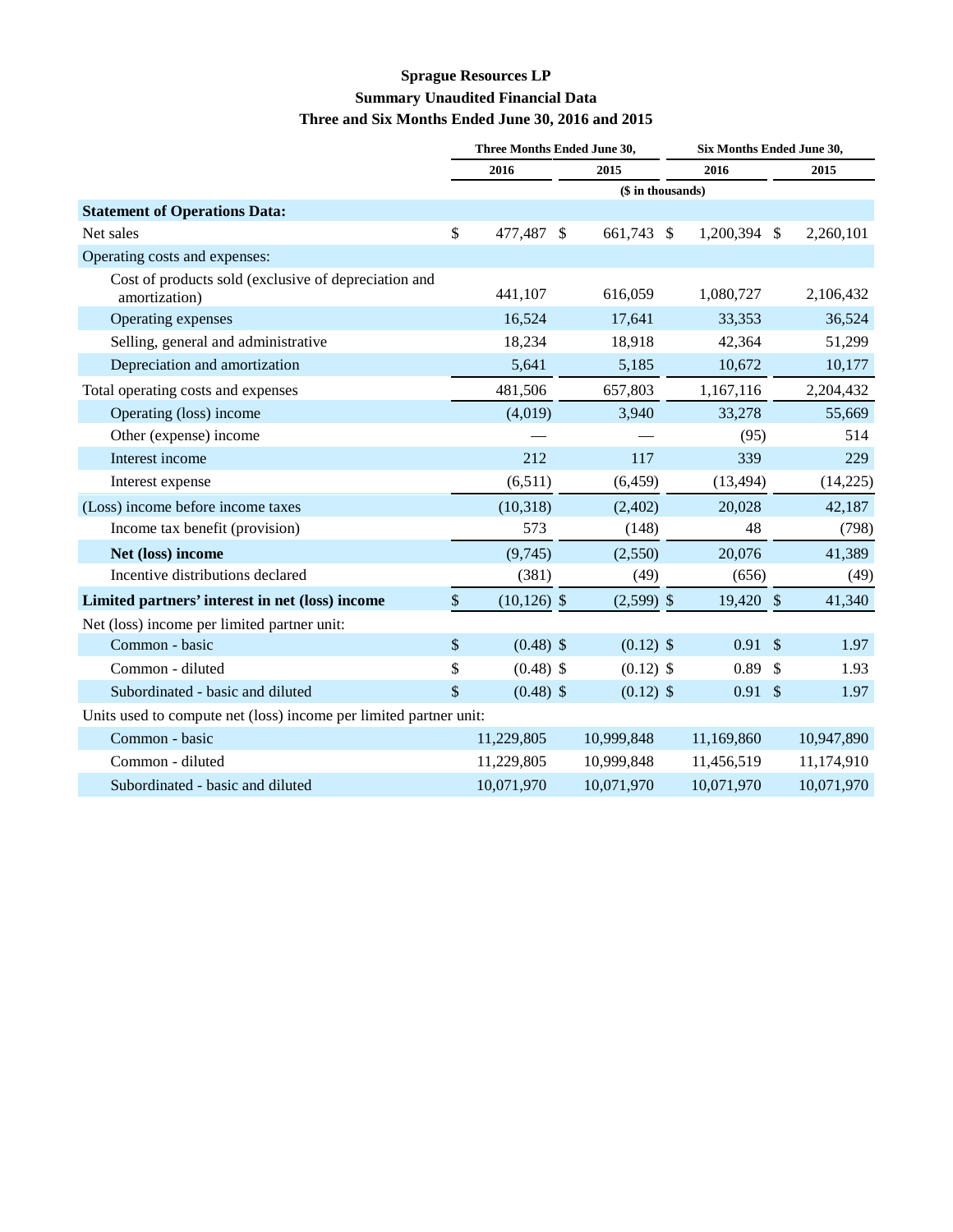#### **Sprague Resources LP Summary Unaudited Financial Data Three and Six Months Ended June 30, 2016 and 2015**

|                                                                       | Three Months Ended June 30, |                |  |              |               | Six Months Ended June 30, |               |            |  |  |
|-----------------------------------------------------------------------|-----------------------------|----------------|--|--------------|---------------|---------------------------|---------------|------------|--|--|
|                                                                       | 2016                        |                |  | 2015         |               | 2016                      |               | 2015       |  |  |
|                                                                       | (\$ in thousands)           |                |  |              |               |                           |               |            |  |  |
| <b>Statement of Operations Data:</b>                                  |                             |                |  |              |               |                           |               |            |  |  |
| Net sales                                                             | \$                          | 477,487 \$     |  | 661,743      | $\mathcal{S}$ | 1,200,394                 | - \$          | 2,260,101  |  |  |
| Operating costs and expenses:                                         |                             |                |  |              |               |                           |               |            |  |  |
| Cost of products sold (exclusive of depreciation and<br>amortization) |                             | 441,107        |  | 616,059      |               | 1,080,727                 |               | 2,106,432  |  |  |
| Operating expenses                                                    |                             | 16,524         |  | 17,641       |               | 33,353                    |               | 36,524     |  |  |
| Selling, general and administrative                                   |                             | 18,234         |  | 18,918       |               | 42,364                    |               | 51,299     |  |  |
| Depreciation and amortization                                         |                             | 5,641          |  | 5,185        |               | 10,672                    |               | 10,177     |  |  |
| Total operating costs and expenses                                    |                             | 481,506        |  | 657,803      |               | 1,167,116                 |               | 2,204,432  |  |  |
| Operating (loss) income                                               |                             | (4,019)        |  | 3,940        |               | 33,278                    |               | 55,669     |  |  |
| Other (expense) income                                                |                             |                |  |              |               | (95)                      |               | 514        |  |  |
| Interest income                                                       |                             | 212            |  | 117          |               | 339                       |               | 229        |  |  |
| Interest expense                                                      |                             | (6,511)        |  | (6, 459)     |               | (13, 494)                 |               | (14, 225)  |  |  |
| (Loss) income before income taxes                                     |                             | (10, 318)      |  | (2,402)      |               | 20,028                    |               | 42,187     |  |  |
| Income tax benefit (provision)                                        |                             | 573            |  | (148)        |               | 48                        |               | (798)      |  |  |
| Net (loss) income                                                     |                             | (9,745)        |  | (2,550)      |               | 20,076                    |               | 41,389     |  |  |
| Incentive distributions declared                                      |                             | (381)          |  | (49)         |               | (656)                     |               | (49)       |  |  |
| Limited partners' interest in net (loss) income                       | \$                          | $(10, 126)$ \$ |  | $(2,599)$ \$ |               | 19,420 \$                 |               | 41,340     |  |  |
| Net (loss) income per limited partner unit:                           |                             |                |  |              |               |                           |               |            |  |  |
| Common - basic                                                        | \$                          | $(0.48)$ \$    |  | $(0.12)$ \$  |               | 0.91                      | $\mathcal{S}$ | 1.97       |  |  |
| Common - diluted                                                      | \$                          | $(0.48)$ \$    |  | $(0.12)$ \$  |               | 0.89                      | $\mathbb{S}$  | 1.93       |  |  |
| Subordinated - basic and diluted                                      | \$                          | $(0.48)$ \$    |  | $(0.12)$ \$  |               | $0.91 \text{ }$ \$        |               | 1.97       |  |  |
| Units used to compute net (loss) income per limited partner unit:     |                             |                |  |              |               |                           |               |            |  |  |
| Common - basic                                                        |                             | 11,229,805     |  | 10,999,848   |               | 11,169,860                |               | 10,947,890 |  |  |
| Common - diluted                                                      |                             | 11,229,805     |  | 10,999,848   |               | 11,456,519                |               | 11,174,910 |  |  |
| Subordinated - basic and diluted                                      |                             | 10,071,970     |  | 10,071,970   |               | 10,071,970                |               | 10,071,970 |  |  |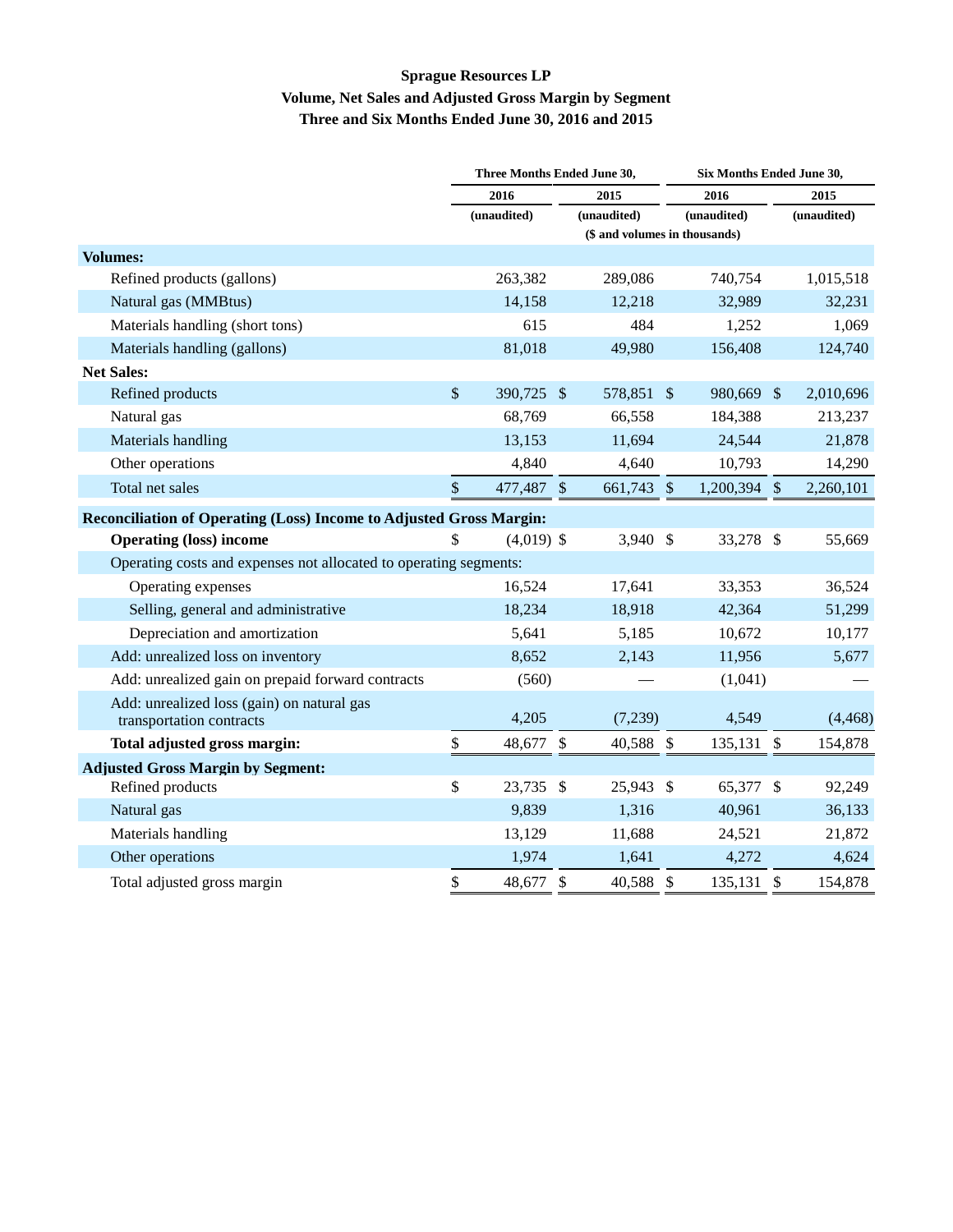#### **Sprague Resources LP Volume, Net Sales and Adjusted Gross Margin by Segment Three and Six Months Ended June 30, 2016 and 2015**

|                                                                        |      | Three Months Ended June 30, |                               |             |                           | Six Months Ended June 30, |         |             |  |  |
|------------------------------------------------------------------------|------|-----------------------------|-------------------------------|-------------|---------------------------|---------------------------|---------|-------------|--|--|
|                                                                        | 2016 |                             | 2015                          |             | 2016                      |                           |         | 2015        |  |  |
|                                                                        |      | (unaudited)                 |                               | (unaudited) |                           | (unaudited)               |         | (unaudited) |  |  |
|                                                                        |      |                             | (\$ and volumes in thousands) |             |                           |                           |         |             |  |  |
| <b>Volumes:</b>                                                        |      |                             |                               |             |                           |                           |         |             |  |  |
| Refined products (gallons)                                             |      | 263,382                     |                               | 289,086     |                           | 740,754                   |         | 1,015,518   |  |  |
| Natural gas (MMBtus)                                                   |      | 14,158                      |                               | 12,218      |                           | 32,989                    |         | 32,231      |  |  |
| Materials handling (short tons)                                        |      | 615                         |                               | 484         |                           | 1,252                     |         | 1,069       |  |  |
| Materials handling (gallons)                                           |      | 81,018                      |                               | 49,980      |                           | 156,408                   |         | 124,740     |  |  |
| <b>Net Sales:</b>                                                      |      |                             |                               |             |                           |                           |         |             |  |  |
| Refined products                                                       | \$   | 390,725 \$                  |                               | 578,851 \$  |                           | 980,669 \$                |         | 2,010,696   |  |  |
| Natural gas                                                            |      | 68,769                      |                               | 66,558      |                           | 184,388                   |         | 213,237     |  |  |
| Materials handling                                                     |      | 13,153                      |                               | 11,694      |                           | 24,544                    |         | 21,878      |  |  |
| Other operations                                                       |      | 4,840                       |                               | 4,640       |                           | 10,793                    |         | 14,290      |  |  |
| Total net sales                                                        | \$   | 477,487                     | $\sqrt{3}$                    | 661,743     | $\boldsymbol{\mathsf{S}}$ | 1,200,394                 | $\sqrt$ | 2,260,101   |  |  |
| Reconciliation of Operating (Loss) Income to Adjusted Gross Margin:    |      |                             |                               |             |                           |                           |         |             |  |  |
| <b>Operating (loss) income</b>                                         | \$   | $(4,019)$ \$                |                               | 3,940 \$    |                           | 33,278 \$                 |         | 55,669      |  |  |
| Operating costs and expenses not allocated to operating segments:      |      |                             |                               |             |                           |                           |         |             |  |  |
| Operating expenses                                                     |      | 16,524                      |                               | 17,641      |                           | 33,353                    |         | 36,524      |  |  |
| Selling, general and administrative                                    |      | 18,234                      |                               | 18,918      |                           | 42,364                    |         | 51,299      |  |  |
| Depreciation and amortization                                          |      | 5,641                       |                               | 5,185       |                           | 10,672                    |         | 10,177      |  |  |
| Add: unrealized loss on inventory                                      |      | 8,652                       |                               | 2,143       |                           | 11,956                    |         | 5,677       |  |  |
| Add: unrealized gain on prepaid forward contracts                      |      | (560)                       |                               |             |                           | (1,041)                   |         |             |  |  |
| Add: unrealized loss (gain) on natural gas<br>transportation contracts |      | 4,205                       |                               | (7,239)     |                           | 4,549                     |         | (4, 468)    |  |  |
| Total adjusted gross margin:                                           | \$   | 48,677                      | $\boldsymbol{\mathsf{S}}$     | 40,588 \$   |                           | 135,131 \$                |         | 154,878     |  |  |
| <b>Adjusted Gross Margin by Segment:</b>                               |      |                             |                               |             |                           |                           |         |             |  |  |
| Refined products                                                       | \$   | 23,735                      | $\boldsymbol{\mathsf{S}}$     | 25,943      | -\$                       | 65,377                    | -\$     | 92,249      |  |  |
| Natural gas                                                            |      | 9,839                       |                               | 1,316       |                           | 40,961                    |         | 36,133      |  |  |
| Materials handling                                                     |      | 13,129                      |                               | 11,688      |                           | 24,521                    |         | 21,872      |  |  |
| Other operations                                                       |      | 1,974                       |                               | 1,641       |                           | 4,272                     |         | 4,624       |  |  |
| Total adjusted gross margin                                            | \$   | 48,677                      | $\mathcal{S}$                 | 40,588      | $\mathcal{S}$             | 135,131 \$                |         | 154,878     |  |  |